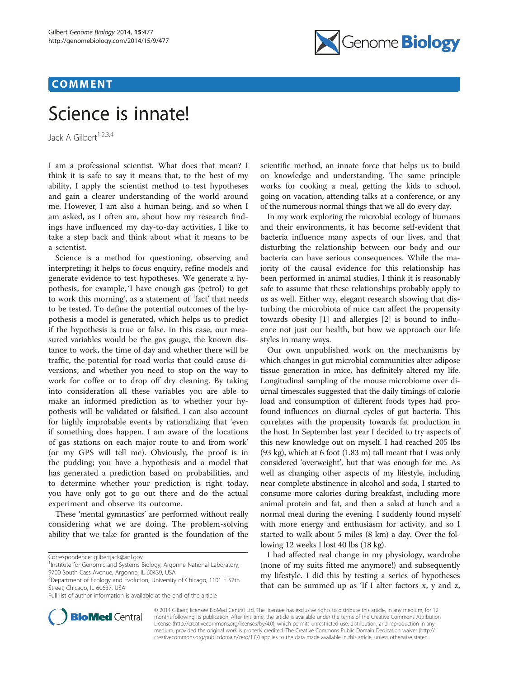# COMMENT



# Science is innate!

Jack A Gilbert<sup>1,2,3,4</sup>

I am a professional scientist. What does that mean? I think it is safe to say it means that, to the best of my ability, I apply the scientist method to test hypotheses and gain a clearer understanding of the world around me. However, I am also a human being, and so when I am asked, as I often am, about how my research findings have influenced my day-to-day activities, I like to take a step back and think about what it means to be a scientist.

Science is a method for questioning, observing and interpreting; it helps to focus enquiry, refine models and generate evidence to test hypotheses. We generate a hypothesis, for example, 'I have enough gas (petrol) to get to work this morning', as a statement of 'fact' that needs to be tested. To define the potential outcomes of the hypothesis a model is generated, which helps us to predict if the hypothesis is true or false. In this case, our measured variables would be the gas gauge, the known distance to work, the time of day and whether there will be traffic, the potential for road works that could cause diversions, and whether you need to stop on the way to work for coffee or to drop off dry cleaning. By taking into consideration all these variables you are able to make an informed prediction as to whether your hypothesis will be validated or falsified. I can also account for highly improbable events by rationalizing that 'even if something does happen, I am aware of the locations of gas stations on each major route to and from work' (or my GPS will tell me). Obviously, the proof is in the pudding; you have a hypothesis and a model that has generated a prediction based on probabilities, and to determine whether your prediction is right today, you have only got to go out there and do the actual experiment and observe its outcome.

These 'mental gymnastics' are performed without really considering what we are doing. The problem-solving ability that we take for granted is the foundation of the



In my work exploring the microbial ecology of humans and their environments, it has become self-evident that bacteria influence many aspects of our lives, and that disturbing the relationship between our body and our bacteria can have serious consequences. While the majority of the causal evidence for this relationship has been performed in animal studies, I think it is reasonably safe to assume that these relationships probably apply to us as well. Either way, elegant research showing that disturbing the microbiota of mice can affect the propensity towards obesity [\[1](#page-1-0)] and allergies [[2\]](#page-1-0) is bound to influence not just our health, but how we approach our life styles in many ways.

Our own unpublished work on the mechanisms by which changes in gut microbial communities alter adipose tissue generation in mice, has definitely altered my life. Longitudinal sampling of the mouse microbiome over diurnal timescales suggested that the daily timings of calorie load and consumption of different foods types had profound influences on diurnal cycles of gut bacteria. This correlates with the propensity towards fat production in the host. In September last year I decided to try aspects of this new knowledge out on myself. I had reached 205 lbs (93 kg), which at 6 foot (1.83 m) tall meant that I was only considered 'overweight', but that was enough for me. As well as changing other aspects of my lifestyle, including near complete abstinence in alcohol and soda, I started to consume more calories during breakfast, including more animal protein and fat, and then a salad at lunch and a normal meal during the evening. I suddenly found myself with more energy and enthusiasm for activity, and so I started to walk about 5 miles (8 km) a day. Over the following 12 weeks I lost 40 lbs (18 kg).

I had affected real change in my physiology, wardrobe (none of my suits fitted me anymore!) and subsequently my lifestyle. I did this by testing a series of hypotheses that can be summed up as 'If I alter factors x, y and z,



© 2014 Gilbert; licensee BioMed Central Ltd. The licensee has exclusive rights to distribute this article, in any medium, for 12 months following its publication. After this time, the article is available under the terms of the Creative Commons Attribution License (<http://creativecommons.org/licenses/by/4.0>), which permits unrestricted use, distribution, and reproduction in any medium, provided the original work is properly credited. The Creative Commons Public Domain Dedication waiver [\(http://](http://creativecommons.org/publicdomain/zero/1.0/) [creativecommons.org/publicdomain/zero/1.0/\)](http://creativecommons.org/publicdomain/zero/1.0/) applies to the data made available in this article, unless otherwise stated.

Correspondence: [gilbertjack@anl.gov](mailto:gilbertjack@anl.gov) <sup>1</sup>

<sup>&</sup>lt;sup>1</sup> Institute for Genomic and Systems Biology, Argonne National Laboratory, 9700 South Cass Avenue, Argonne, IL 60439, USA

<sup>2</sup> Department of Ecology and Evolution, University of Chicago, 1101 E 57th Street, Chicago, IL 60637, USA

Full list of author information is available at the end of the article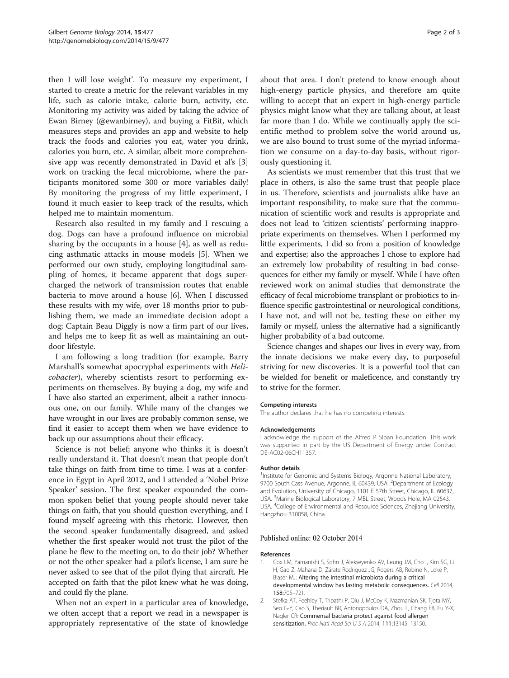<span id="page-1-0"></span>then I will lose weight'. To measure my experiment, I started to create a metric for the relevant variables in my life, such as calorie intake, calorie burn, activity, etc. Monitoring my activity was aided by taking the advice of Ewan Birney (@ewanbirney), and buying a FitBit, which measures steps and provides an app and website to help track the foods and calories you eat, water you drink, calories you burn, etc. A similar, albeit more comprehensive app was recently demonstrated in David et al's [\[3](#page-2-0)] work on tracking the fecal microbiome, where the participants monitored some 300 or more variables daily! By monitoring the progress of my little experiment, I found it much easier to keep track of the results, which helped me to maintain momentum.

Research also resulted in my family and I rescuing a dog. Dogs can have a profound influence on microbial sharing by the occupants in a house [\[4](#page-2-0)], as well as reducing asthmatic attacks in mouse models [\[5](#page-2-0)]. When we performed our own study, employing longitudinal sampling of homes, it became apparent that dogs supercharged the network of transmission routes that enable bacteria to move around a house [\[6](#page-2-0)]. When I discussed these results with my wife, over 18 months prior to publishing them, we made an immediate decision adopt a dog; Captain Beau Diggly is now a firm part of our lives, and helps me to keep fit as well as maintaining an outdoor lifestyle.

I am following a long tradition (for example, Barry Marshall's somewhat apocryphal experiments with Helicobacter), whereby scientists resort to performing experiments on themselves. By buying a dog, my wife and I have also started an experiment, albeit a rather innocuous one, on our family. While many of the changes we have wrought in our lives are probably common sense, we find it easier to accept them when we have evidence to back up our assumptions about their efficacy.

Science is not belief; anyone who thinks it is doesn't really understand it. That doesn't mean that people don't take things on faith from time to time. I was at a conference in Egypt in April 2012, and I attended a 'Nobel Prize Speaker' session. The first speaker expounded the common spoken belief that young people should never take things on faith, that you should question everything, and I found myself agreeing with this rhetoric. However, then the second speaker fundamentally disagreed, and asked whether the first speaker would not trust the pilot of the plane he flew to the meeting on, to do their job? Whether or not the other speaker had a pilot's license, I am sure he never asked to see that of the pilot flying that aircraft. He accepted on faith that the pilot knew what he was doing, and could fly the plane.

When not an expert in a particular area of knowledge, we often accept that a report we read in a newspaper is appropriately representative of the state of knowledge

about that area. I don't pretend to know enough about high-energy particle physics, and therefore am quite willing to accept that an expert in high-energy particle physics might know what they are talking about, at least far more than I do. While we continually apply the scientific method to problem solve the world around us, we are also bound to trust some of the myriad information we consume on a day-to-day basis, without rigorously questioning it.

As scientists we must remember that this trust that we place in others, is also the same trust that people place in us. Therefore, scientists and journalists alike have an important responsibility, to make sure that the communication of scientific work and results is appropriate and does not lead to 'citizen scientists' performing inappropriate experiments on themselves. When I performed my little experiments, I did so from a position of knowledge and expertise; also the approaches I chose to explore had an extremely low probability of resulting in bad consequences for either my family or myself. While I have often reviewed work on animal studies that demonstrate the efficacy of fecal microbiome transplant or probiotics to influence specific gastrointestinal or neurological conditions, I have not, and will not be, testing these on either my family or myself, unless the alternative had a significantly higher probability of a bad outcome.

Science changes and shapes our lives in every way, from the innate decisions we make every day, to purposeful striving for new discoveries. It is a powerful tool that can be wielded for benefit or maleficence, and constantly try to strive for the former.

## Competing interests

The author declares that he has no competing interests.

#### Acknowledgements

I acknowledge the support of the Alfred P Sloan Foundation. This work was supported in part by the US Department of Energy under Contract DE-AC02-06CH11357.

#### Author details

<sup>1</sup>Institute for Genomic and Systems Biology, Argonne National Laboratory, 9700 South Cass Avenue, Argonne, IL 60439, USA. <sup>2</sup>Department of Ecology and Evolution, University of Chicago, 1101 E 57th Street, Chicago, IL 60637, USA. <sup>3</sup>Marine Biological Laboratory, 7 MBL Street, Woods Hole, MA 02543 USA. <sup>4</sup> College of Environmental and Resource Sciences, Zhejiang University, Hangzhou 310058, China.

# Published online: 02 October 2014

#### References

- 1. Cox LM, Yamanishi S, Sohn J, Alekseyenko AV, Leung JM, Cho I, Kim SG, Li H, Gao Z, Mahana D, Zárate Rodriguez JG, Rogers AB, Robine N, Loke P, Blaser MJ: Altering the intestinal microbiota during a critical developmental window has lasting metabolic consequences. Cell 2014, 158:705–721.
- 2. Stefka AT, Feehley T, Tripathi P, Qiu J, McCoy K, Mazmanian SK, Tjota MY, Seo G-Y, Cao S, Theriault BR, Antonopoulos DA, Zhou L, Chang EB, Fu Y-X, Nagler CR: Commensal bacteria protect against food allergen sensitization. Proc Natl Acad Sci U S A 2014, 111:13145-13150.